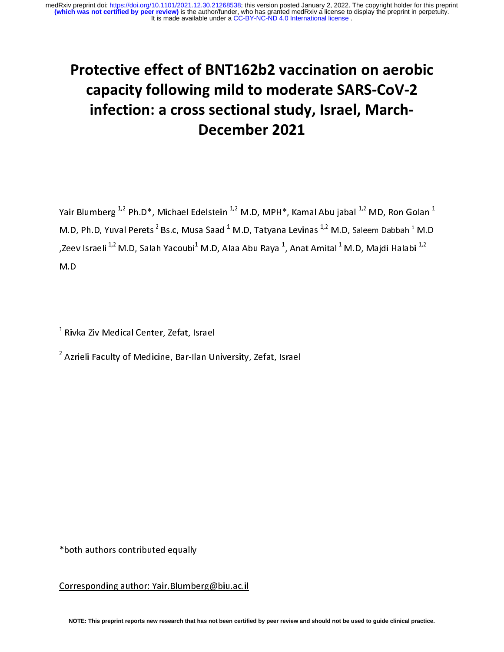## Protective effect of BNT162b2 vaccination on aerobic capacity following mild to moderate SARS-CoV-2 infection: a cross sectional study, Israel, March-December 2021

Yair Blumberg<sup>1,2</sup> Ph.D\*, Michael Edelstein<sup>1,2</sup> M.D, MPH\*, Kamal Abu jabal<sup>1,2</sup> MD, Ron Golan<sup>1</sup> M.D, Ph.D, Yuval Perets<sup>2</sup> Bs.c, Musa Saad <sup>1</sup> M.D, Tatyana Levinas <sup>1,2</sup> M.D, Saleem Dabbah <sup>1</sup> M.D<br>,Zeev Israeli <sup>1,2</sup> M.D, Salah Yacoubi<sup>1</sup> M.D, Alaa Abu Raya <sup>1</sup>, Anat Amital <sup>1</sup> M.D, Majdi Halabi <sup>1,2</sup><br>M.D M.D, Ph.D, Yuval Perets " Bs.c, Musa Saad " M.D, Tatyana Levinas " " M.D, Saleem Dabbah "<br>,Zeev Israeli <sup>1,2</sup> M.D, Salah Yacoubi<sup>1</sup> M.D, Alaa Abu Raya <sup>1</sup>, Anat Amital <sup>1</sup> M.D, Majdi Halab<br>M.D<br>M.D  $i^{1,2}$ ,Zeev Israeli <sup>1,2</sup> M.D, Salah Yacoubi<sup>1</sup><br>M.D<br><sup>1</sup> B. J. Z. M. d. J. J.C. d. - Z. <sup>C. L. J.</sup> M.D, Alaa Abu Raya <sup>1</sup><br>|<br>| , Anat Amital <sup>+</sup> M.D, Majdi Halabi <sup>+,2</sup><br>|<br>|

 $\frac{1}{2}$  Rivl  $\frac{1}{2}$  $\frac{1}{2}$ t.

Azrieli Faculty of Medicine, Bar-Ilan Ur<br>
River, Caroline, Caroline, Israel<br>
Theory  $\begin{bmatrix} 2 \\ 1 \end{bmatrix}$ 2 Azrieli Faculty of Medicine, Bar-Ilan University, Zefat, Israel

\*both authors contributed equally

\*both authors contributed equally  $\overline{a}$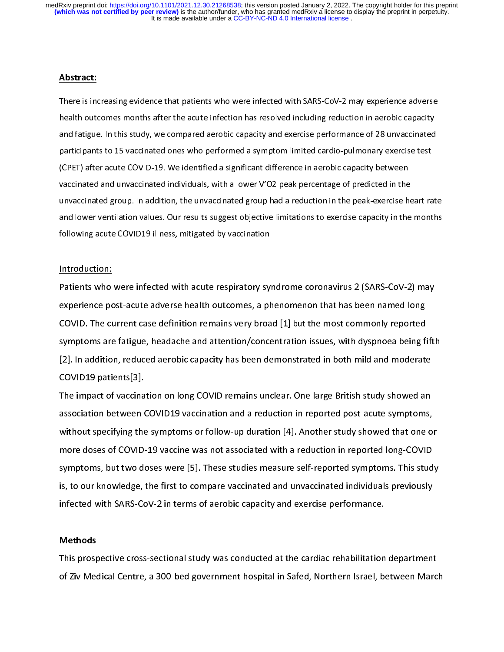## $\overline{a}$ Abstract:

There is increasing evidence that patients who were infected with SARS-CoV-2 may experience adverse health outcomes months after the acute infection has resolved including reduction in aerobic capacity<br>and fatigue. In this study, we compared aerobic capacity and exercise performance of 28 unvaccinated health outcomes months after the acute infection has resolved including reduction in accurating reposity<br>and fatigue. In this study, we compared aerobic capacity and exercise performance of 28 unvaccinated<br>participants to participants to 15 vaccinated ones who performed a symptom limited cardio-pulmonary exercise test<br>(CPET) after acute COVID-19. We identified a significant difference in aerobic capacity between (CPET) after acute COVID-19. We identified a significant difference in aerobic capacity between<br>vaccinated and unvaccinated individuals, with a lower V'O2 peak percentage of predicted in the (CPET)<br>Vaccinated and unvaccinated individuals, with a lower V'O2 peak percentage of predicted in the<br>unvaccinated group. In addition, the unvaccinated group had a reduction in the peak-exercise h vaccinated and underthated individuals, with a lower VID peak percentage or predicted in the<br>unvaccinated group. In addition, the unvaccinated group had a reduction in the peak-exercise he<br>and lower ventilation values. Our and lower ventilation values. Our results suggest objective limitations to exercise capacity in the months following acute COVID19 illness, mitigated by vaccination

# following acute COVID-19 illness, mitigated by vaccination:<br>Introduction:

 $\begin{array}{c} \frac{1}{2} \\ \frac{1}{2} \\ \frac{1}{2} \\ \frac{1}{2} \\ \frac{1}{2} \\ \frac{1}{2} \\ \frac{1}{2} \\ \frac{1}{2} \\ \frac{1}{2} \\ \frac{1}{2} \\ \frac{1}{2} \\ \frac{1}{2} \\ \frac{1}{2} \\ \frac{1}{2} \\ \frac{1}{2} \\ \frac{1}{2} \\ \frac{1}{2} \\ \frac{1}{2} \\ \frac{1}{2} \\ \frac{1}{2} \\ \frac{1}{2} \\ \frac{1}{2} \\ \frac{1}{2} \\ \frac{1}{2} \\ \frac{1}{2} \\ \frac{1}{2} \\ \frac{1}{$ ———————<br>Patients who<br>experience pc<br>COVID. The cu<br>symptoms are experience post-acute adverse health outcomes, a phenomenon that has been named long<br>COVID. The current case definition remains very broad [1] but the most commonly reported<br>symptoms are fatigue, headache and attention/con COVID. The current case definition remains very broad [1] but the most commonly reported<br>symptoms are fatigue, headache and attention/concentration issues, with dyspnoea being fift<br>[2]. In addition, reduced aerobic capacit symptoms are fatigue, headache and attention/concentration issues, with dyspnoea being fifth<br>[2]. In addition, reduced aerobic capacity has been demonstrated in both mild and moderate<br>COVID19 patients[3].<br>The impact of vac

association between COVID19 vaccination and a reduction in reported post-acute symptoms, EJ. In addition, reduced at the million, rule of the million million in the million and moderate<br>COVID19 patients[3].<br>The impact of vaccination on long COVID remains unclear. One large British study showed an<br>association b The impact of vaccina<br>association between (<br>without specifying the<br>more doses of COVID The impact of vacuum criting COVID19 vaccination and a reduction in reported post-acute symptoms,<br>without specifying the symptoms or follow-up duration [4]. Another study showed that one o<br>more doses of COVID-19 vaccine wa without specifying the symptoms or follow-up duration [4]. Another study showed that one or<br>more doses of COVID-19 vaccine was not associated with a reduction in reported long-COVID<br>symptoms, but two doses were [5]. These more doses of COVID-19 vaccine was not associated with a reduction in reported long-COVID<br>symptoms, but two doses were [5]. These studies measure self-reported symptoms. This study<br>is, to our knowledge, the first to compar symptoms, but two doses were [5]. These studies measure self-reported symptoms. This stud<br>is, to our knowledge, the first to compare vaccinated and unvaccinated individuals previously<br>infected with SARS-CoV-2 in terms of a is, to our knowledge, the first to compare vaccinated and unvaccinated individuals previously<br>infected with SARS-CoV-2 in terms of aerobic capacity and exercise performance. infected with SARS-CoV-2 in terms of aerobic capacity and exercise performance.<br>
Methods<br>
This prospective cross-sectional study was conducted at the cardiac rehabilitation department

### Methods

infectives with SARS-Covert with SARS-Methods<br>This prospective cross-sectional study was conducted at the cardiac rehabilitation<br>This Medical Centre, a 300-bed government hospital in Safed, Northern Israel, be  $\begin{array}{c} \n\blacksquare$ of Ziv Medical Centre, a 300-bed government hospital in Safed, Northern Israel, between March of Ziv Medical Centre, a 300-bed government hospital in Safed, Northern Israel, between March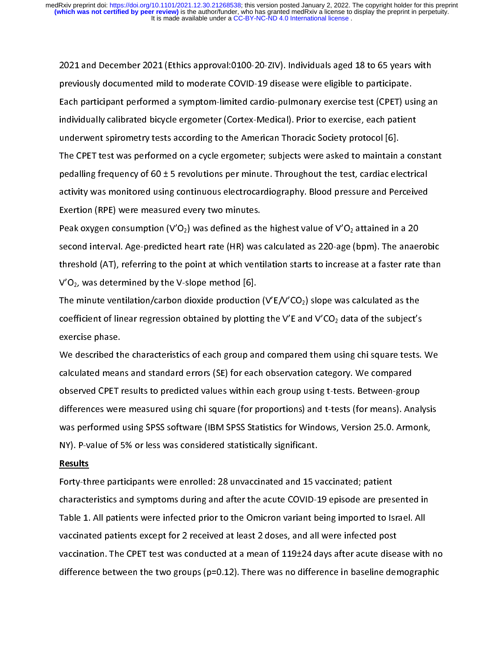2021 and December 2021 (Ethics approval:0100-20-ZIV). Individuals aged 18 to 65 years with<br>previously documented mild to moderate COVID-19 disease were eligible to participate.<br>Each participant performed a symptom-limited previously accumented militarism of the modern correspondent paralytics<br>Each participant performed a symptom-limited cardio-pulmonary exercise test (CPET) us<br>individually calibrated bicycle ergometer (Cortex-Medical). Prio Individually calibrated bicycle ergometer (Cortex-Medical). Prior to exercise, each patient<br>underwent spirometry tests according to the American Thoracic Society protocol [6].<br>The CPET test was performed on a cycle ergomet individually calibrated bitycle ergometric (Cortex-Medical). Prior to exercise, calibrated bicycle underwent spirometry tests according to the American Thoracic Society protocol [6].<br>The CPET test was performed on a cycle The CPET test was performed on a cycle ergometer; subjects were asked to maintain a<br>pedalling frequency of 60 ± 5 revolutions per minute. Throughout the test, cardiac ele<br>activity was monitored using continuous electrocar pedalling frequency of 60 ± 5 revolutions per minute. Throughout the test, cardiac electrical<br>activity was monitored using continuous electrocardiography. Blood pressure and Perceived<br>Exertion (RPE) were measured every tw per mining frequency of 60 ± 5 revolutions per minine. Throughout the test, cardiac electrical<br>activity was monitored using continuous electrocardiography. Blood pressure and Perceived<br>Exertion (RPE) were measured every tw

Exertion (RPE) were measured every two minutes.<br>Peak oxygen consumption (V'O<sub>2</sub>) was defined as the highest value of V'O<sub>2</sub> attained in a 20<br>second interval. Age-predicted heart rate (HR) was calculated as 220-age (bpm). Exertion (RPE) were measured every two minutes.<br>
Peak oxygen consumption (V'O<sub>2</sub>) was defined as the highest value of V'O<sub>2</sub> attained in a 20<br>
second interval. Age-predicted heart rate (HR) was calculated as 220-age (bpm)  $P$ eak oxygen consumption (V'O2) was same as the highest rank of V'O2 attained in a 20<br>second interval. Age-predicted heart rate (HR) was calculated as 220-age (bpm). The anaer<br>threshold (AT), referring to the point at wh threshold (AT), referring to the point at which ventilation starts to increase at a faster rate than V'O<sub>2</sub>, was determined by the V-slope method [6].<br>The minute ventilation/carbon dioxide production (V'E/V'CO<sub>2</sub>) slope w

 $V'O<sub>2</sub>$ , was determined by the V-slope method [6].<br>The minute ventilation/carbon dioxide production (V'E/V'CO<sub>2</sub>) slope was calculated as the<br>coefficient of linear regression obtained by plotting the V'E and V'CO<sub>2</sub> d The minute ventilation/carbon dioxide production<br>coefficient of linear regression obtained by plottin<br>exercise phase.<br>We described the characteristics of each group an coefficient of linear regression obtained by plotting the V'E and V'CO<sub>2</sub> data of the subject's<br>exercise phase.<br>We described the characteristics of each group and compared them using chi square tests.<br>calculated means and

exercise phase.<br>We described the characteristics of each group and compared them using chi square tests.<br>Calculated means and standard errors (SE) for each observation category. We compared<br>observed CPET results to predict We described th<br>calculated mear<br>observed CPET r<br>differences wer Calculated means and standard errors (SE) for each observation category. We compared<br>observed CPET results to predicted values within each group using t-tests. Between-group<br>differences were measured using chi square (for calculated means and standard errors (SE) for each observation category. We compared<br>observed CPET results to predicted values within each group using t-tests. Between-group<br>differences were measured using chi square (for differences were measured using chi square (for proportions) and t-tests (for means). Anal<br>was performed using SPSS software (IBM SPSS Statistics for Windows, Version 25.0. Armor<br>NY). P-value of 5% or less was considered s was performed using SPSS software (IBM SPSS Statistics for Windows, Version 25.0. Armonk,<br>NY). P-value of 5% or less was considered statistically significant.<br>Results<br>Forty-three participants were enrolled: 28 unvaccinated

### Results

Whyles and the performance of the set of the set of the set of the set of the set of the set of the set of the<br>
Results<br>
Forty-three participants were enrolled: 28 unvaccinated and 15 vaccinated; patient<br>
characteristics a Results<br>Forty-three participants were enrolled: 28 unvaccinated and 15 v<br>characteristics and symptoms during and after the acute COVID-1<br>Table 1. All patients were infected prior to the Omicron variant be Forty-three presents and symptoms during and after the acute COVID-19 episode are pres<br>Table 1. All patients were infected prior to the Omicron variant being imported to Is<br>vaccinated patients except for 2 received at leas Table 1. All patients were infected prior to the Omicron variant being imported to Israel. All<br>vaccinated patients except for 2 received at least 2 doses, and all were infected post<br>vaccination. The CPET test was conducted Vaccinated patients except for 2 received at least 2 doses, and all were infected post<br>vaccination. The CPET test was conducted at a mean of 119±24 days after acute disease with<br>difference between the two groups (p=0.12). vaccination. The CPET test was conducted at a mean of  $119\pm 24$  days after acute diseadifference between the two groups (p=0.12). There was no difference in baseline dereasting the two groups (p=0.12). There was no diffe difference between the two groups (p=0.12). There was no difference in baseline demographic<br>difference between the two groups (p=0.12). There was no difference in baseline demographic<br>difference between the two groups (p= difference between the two groups (p=0.12). There was no difference in baseline demographic demographic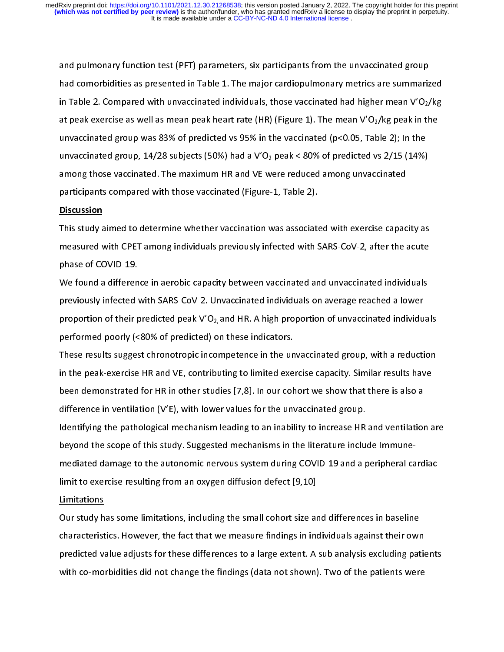and pulmonary function test (PFT) parameters, six participants from the unvaccinated group<br>had comorbidities as presented in Table 1. The major cardiopulmonary metrics are summarized<br>in Table 2. Compared with unvaccinated in Table 2. Compared with unvaccinated individuals, those vaccinated had higher mean V'O<sub>2</sub>/kg<br>at peak exercise as well as mean peak heart rate (HR) (Figure 1). The mean V'O<sub>2</sub>/kg peak in the<br>unvaccinated group was 83% of at peak exercise as well as mean peak heart rate (HR) (Figure 1). The mean V'O<sub>2</sub>/kg peak in the<br>unvaccinated group was 83% of predicted vs 95% in the vaccinated (p<0.05, Table 2); In the<br>unvaccinated group, 14/28 subject at peak extends as well as well as peak exercise (HR) (Figure 1). The mean  $\epsilon$  12/6 peak in the unvaccinated group, 14/28 subjects (50%) had a V'O<sub>2</sub> peak < 80% of predicted vs 2/15 (14%) among those vaccinated. The maxi unvaccinated group, 14/28 subjects (50%) had a V'O<sub>2</sub> peak < 80% of predicted vs 2/15 (14%)<br>among those vaccinated. The maximum HR and VE were reduced among unvaccinated<br>participants compared with those vaccinated (Figure among those vaccinated. The maximum HR and VE were reduced among unvaccinated<br>participants compared with those vaccinated (Figure-1, Table 2).<br>Discussion<br>This study aimed to determine whether vaccination was associated wit

## **Discussion**

among and compared with those vaccinated (Figure-1, Table 2).<br>Discussion<br>This study aimed to determine whether vaccination was associated with exercise capac<br>measured with CPET among individuals previously infected with SA participants compared to the University Comparts Chiesen<br>This study aimed to determine whether vaccination was associated<br>measured with CPET among individuals previously infected with S<br>phase of COVID-19. This study and the determine interact recembent are accounted with same increase phase<br>measured with CPET among individuals previously infected with SARS-CoV-2, after the acute<br>phase of COVID-19.<br>We found a difference in a

phase of COVID-19.<br>We found a difference in aerobic capacity between vaccinated and unvaccinated individuals<br>previously infected with SARS-CoV-2. Unvaccinated individuals on average reached a lower<br>proportion of their pred phase of COVID-21.<br>We found a differen<br>previously infected<br>proportion of their p<br>performed poorly (< previously infected with SARS-CoV-2. Unvaccinated individuals on average reached a lower<br>proportion of their predicted peak V'O<sub>2,</sub> and HR. A high proportion of unvaccinated individua<br>performed poorly (<80% of predicted) proportion of their predicted peak V'O<sub>2,</sub> and HR. A high proportion of unvaccinated individu<br>performed poorly (<80% of predicted) on these indicators.<br>These results suggest chronotropic incompetence in the unvaccinated g

performed poorly (<80% of predicted) on these indicators.<br>These results suggest chronotropic incompetence in the unvaccinated group, with a reduction<br>in the peak-exercise HR and VE, contributing to limited exercise capacit performance in the secults suggest chronotropic incompetence in the un<br>in the peak-exercise HR and VE, contributing to limited exe<br>been demonstrated for HR in other studies [7,8]. In our cor<br>difference in ventilation (V'E) These results and VE, contributing to limited exercise capacity. Similar results have<br>been demonstrated for HR in other studies [7,8]. In our cohort we show that there is also a<br>difference in ventilation (V'E), with lower in the peak-exercise the peak-exercise the peak-exercise head of the peak-exercise head of the peak-exercise HR and ventilation (V'E), with lower values for the unvaccinated group.<br>Identifying the pathological mechanism le

been demonstrated for HR in other studies [7,8]. In our cohort we show that there is also a<br>difference in ventilation (V'E), with lower values for the unvaccinated group.<br>Identifying the pathological mechanism leading to a Identifying the pathological mechanism leading to an inability to increase HR<br>beyond the scope of this study. Suggested mechanisms in the literature inclue<br>mediated damage to the autonomic nervous system during COVID-19 a beyond the scope of this study. Suggested mechanisms in the literature include Immune-<br>mediated damage to the autonomic nervous system during COVID-19 and a peripheral cardiac<br>limit to exercise resulting from an oxygen dif

Our study has some immtations, including the small conort size and unferences in basemit mediated damage to the autonomic nervously services and as the algorithm cardiac<br>limit to exercise resulting from an oxygen diffusion defect [9,10]<br>Our study has some limitations, including the small cohort size and differ Limitations<br>Our study has some limitations, including the small cohort size are<br>characteristics. However, the fact that we measure findings in ine<br>predicted value adjusts for these differences to a large extent. A <u>—————</u><br>Our study h<br>characterist<br>predicted va<br>with co-mol characteristics. However, the fact that we measure findings in individuals against their own predicted value adjusts for these differences to a large extent. A sub analysis excluding patients with co-morbidities did not change the findings (data not shown). Two of the patients were with co-morbidities did not change the findings (data not shown). Two of the patients were patients were patients were patients were patients were patients were patients were patients were patients were patients were patie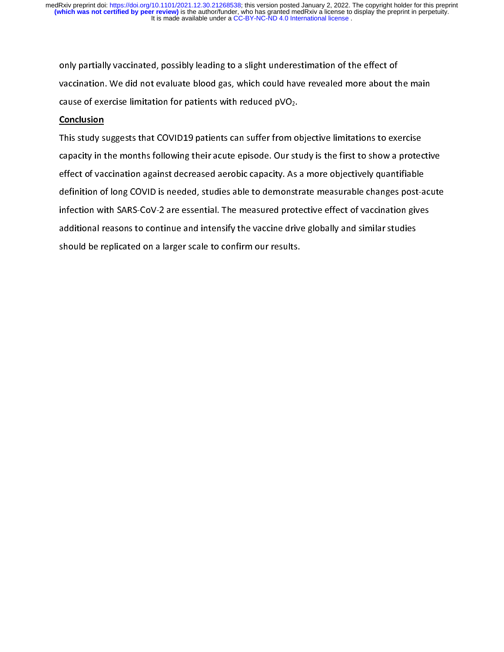vaccination. We did not evaluate blood gas, which could have revealed more about th<br>cause of exercise limitation for patients with reduced pVO<sub>2</sub>.<br>Conclusion<br>This study suggests that COVID19 patients can suffer from objec

### **Conclusion**

cause of exercise limitation for patients with reduced  $pVO_2$ .<br>Conclusion<br>This study suggests that COVID19 patients can suffer from objective limitations to exercise<br>capacity in the months following their acute episode. O Conclusion<br>This study suggests that COVID19 patients can suffer from o<br>capacity in the months following their acute episode. Our sti<br>effect of vaccination against decreased aerobic capacity. As capacity in the months following their acute episode. Our study is the first to show a protective<br>effect of vaccination against decreased aerobic capacity. As a more objectively quantifiable effect of vaccination against decreased aerobic capacity. As a more objectively quantifiable<br>definition of long COVID is needed, studies able to demonstrate measurable changes post-acute<br>infection with SARS-CoV-2 are essen definition of long COVID is needed, studies able to demonstrate measurable changes post-a<br>infection with SARS-CoV-2 are essential. The measured protective effect of vaccination gives<br>additional reasons to continue and inte infection with SARS-CoV-2 are essential. The measured protective effect of vaccination gives<br>additional reasons to continue and intensify the vaccine drive globally and similar studies<br>should be replicated on a larger scal additional reasons to continue and intensify the vaccine drive globally and similar studies and the reasons to continue and intensify the vacuum and globally and similar studies<br>should be replicated on a larger scale to confirm our results. should be replicated on a larger scale to confirm our results.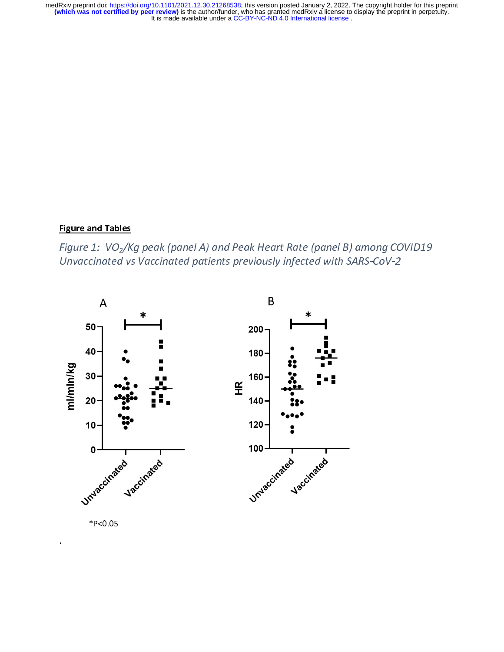# $\frac{1}{2}$ Figure and Tables

 $\frac{1}{2}$  $\frac{1}{\sqrt{2}}$  $\begin{array}{c} \frac{1}{2} \end{array}$ Figure 1: VO2/Kg peak (panel A) and Peak Heart Rate (panel B) among COVID19 Unvaccinated vs Vaccinated patients previously infected with SARS-CoV-2



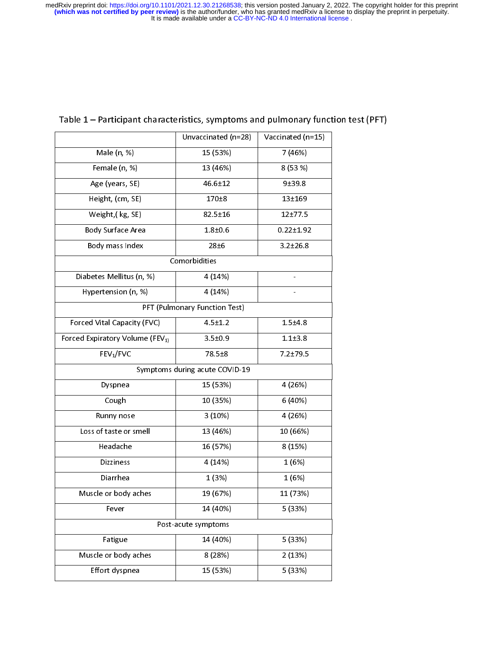| Table 1 – Participant characteristics, symptoms and pulmonary function test (PFT)<br>Unvaccinated (n=28)<br>Vaccinated (n=15)<br>Male (n, %)<br>15 (53%)<br>7 (46%)<br>Female (n, %)<br>13 (46%)<br>8(53%)<br>Age (years, SE)<br>$46.6 \pm 12$<br>$9 + 39.8$<br>Height, (cm, SE)<br>$170 + 8$<br>$13 + 169$<br>Weight, (kg, SE)<br>$82.5 \pm 16$<br>$12 + 77.5$<br>Body Surface Area<br>$1.8 + 0.6$<br>$0.22 \pm 1.92$<br>Body mass Index<br>28 <sub>±6</sub><br>$3.2 \pm 26.8$<br>Comorbidities<br>Diabetes Mellitus (n, %)<br>4(14%)<br>4(14%)<br>Hypertension (n, %)<br>PFT (Pulmonary Function Test)<br>Forced Vital Capacity (FVC)<br>$1.5 + 4.8$<br>$4.5 \pm 1.2$<br>$1.1 + 3.8$<br>$3.5 \pm 0.9$<br>FEV <sub>1</sub> /FVC<br>78.5 ± 8<br>$7.2 + 79.5$<br>Symptoms during acute COVID-19<br>15 (53%)<br>4 (26%)<br>Dyspnea<br>10 (35%)<br>6 (40%)<br>Cough<br>3(10%)<br>4 (26%)<br>Runny nose<br>Loss of taste or smell<br>13 (46%)<br>10 (66%)<br>16 (57%)<br>8 (15%)<br>Headache<br>4 (14%)<br>1(6%)<br>Dizziness<br>1(3%)<br>1(6%)<br>Diarrhea<br>Muscle or body aches<br>19 (67%)<br>11 (73%)<br>14 (40%)<br>5 (33%)<br>Fever<br>Post-acute symptoms<br>14 (40%)<br>Fatigue<br>5 (33%)<br>Muscle or body aches<br>8 (28%)<br>2(13%)<br>Effort dyspnea<br>15 (53%)<br>5 (33%) |                                             |  |  |
|----------------------------------------------------------------------------------------------------------------------------------------------------------------------------------------------------------------------------------------------------------------------------------------------------------------------------------------------------------------------------------------------------------------------------------------------------------------------------------------------------------------------------------------------------------------------------------------------------------------------------------------------------------------------------------------------------------------------------------------------------------------------------------------------------------------------------------------------------------------------------------------------------------------------------------------------------------------------------------------------------------------------------------------------------------------------------------------------------------------------------------------------------------------------------------------------------------------------------------------------------------------------------------------|---------------------------------------------|--|--|
|                                                                                                                                                                                                                                                                                                                                                                                                                                                                                                                                                                                                                                                                                                                                                                                                                                                                                                                                                                                                                                                                                                                                                                                                                                                                                        |                                             |  |  |
|                                                                                                                                                                                                                                                                                                                                                                                                                                                                                                                                                                                                                                                                                                                                                                                                                                                                                                                                                                                                                                                                                                                                                                                                                                                                                        |                                             |  |  |
|                                                                                                                                                                                                                                                                                                                                                                                                                                                                                                                                                                                                                                                                                                                                                                                                                                                                                                                                                                                                                                                                                                                                                                                                                                                                                        |                                             |  |  |
|                                                                                                                                                                                                                                                                                                                                                                                                                                                                                                                                                                                                                                                                                                                                                                                                                                                                                                                                                                                                                                                                                                                                                                                                                                                                                        |                                             |  |  |
|                                                                                                                                                                                                                                                                                                                                                                                                                                                                                                                                                                                                                                                                                                                                                                                                                                                                                                                                                                                                                                                                                                                                                                                                                                                                                        |                                             |  |  |
|                                                                                                                                                                                                                                                                                                                                                                                                                                                                                                                                                                                                                                                                                                                                                                                                                                                                                                                                                                                                                                                                                                                                                                                                                                                                                        |                                             |  |  |
|                                                                                                                                                                                                                                                                                                                                                                                                                                                                                                                                                                                                                                                                                                                                                                                                                                                                                                                                                                                                                                                                                                                                                                                                                                                                                        |                                             |  |  |
|                                                                                                                                                                                                                                                                                                                                                                                                                                                                                                                                                                                                                                                                                                                                                                                                                                                                                                                                                                                                                                                                                                                                                                                                                                                                                        |                                             |  |  |
|                                                                                                                                                                                                                                                                                                                                                                                                                                                                                                                                                                                                                                                                                                                                                                                                                                                                                                                                                                                                                                                                                                                                                                                                                                                                                        |                                             |  |  |
|                                                                                                                                                                                                                                                                                                                                                                                                                                                                                                                                                                                                                                                                                                                                                                                                                                                                                                                                                                                                                                                                                                                                                                                                                                                                                        |                                             |  |  |
|                                                                                                                                                                                                                                                                                                                                                                                                                                                                                                                                                                                                                                                                                                                                                                                                                                                                                                                                                                                                                                                                                                                                                                                                                                                                                        |                                             |  |  |
|                                                                                                                                                                                                                                                                                                                                                                                                                                                                                                                                                                                                                                                                                                                                                                                                                                                                                                                                                                                                                                                                                                                                                                                                                                                                                        |                                             |  |  |
|                                                                                                                                                                                                                                                                                                                                                                                                                                                                                                                                                                                                                                                                                                                                                                                                                                                                                                                                                                                                                                                                                                                                                                                                                                                                                        |                                             |  |  |
|                                                                                                                                                                                                                                                                                                                                                                                                                                                                                                                                                                                                                                                                                                                                                                                                                                                                                                                                                                                                                                                                                                                                                                                                                                                                                        |                                             |  |  |
|                                                                                                                                                                                                                                                                                                                                                                                                                                                                                                                                                                                                                                                                                                                                                                                                                                                                                                                                                                                                                                                                                                                                                                                                                                                                                        |                                             |  |  |
|                                                                                                                                                                                                                                                                                                                                                                                                                                                                                                                                                                                                                                                                                                                                                                                                                                                                                                                                                                                                                                                                                                                                                                                                                                                                                        | Forced Expiratory Volume (FEV <sub>1)</sub> |  |  |
|                                                                                                                                                                                                                                                                                                                                                                                                                                                                                                                                                                                                                                                                                                                                                                                                                                                                                                                                                                                                                                                                                                                                                                                                                                                                                        |                                             |  |  |
|                                                                                                                                                                                                                                                                                                                                                                                                                                                                                                                                                                                                                                                                                                                                                                                                                                                                                                                                                                                                                                                                                                                                                                                                                                                                                        |                                             |  |  |
|                                                                                                                                                                                                                                                                                                                                                                                                                                                                                                                                                                                                                                                                                                                                                                                                                                                                                                                                                                                                                                                                                                                                                                                                                                                                                        |                                             |  |  |
|                                                                                                                                                                                                                                                                                                                                                                                                                                                                                                                                                                                                                                                                                                                                                                                                                                                                                                                                                                                                                                                                                                                                                                                                                                                                                        |                                             |  |  |
|                                                                                                                                                                                                                                                                                                                                                                                                                                                                                                                                                                                                                                                                                                                                                                                                                                                                                                                                                                                                                                                                                                                                                                                                                                                                                        |                                             |  |  |
|                                                                                                                                                                                                                                                                                                                                                                                                                                                                                                                                                                                                                                                                                                                                                                                                                                                                                                                                                                                                                                                                                                                                                                                                                                                                                        |                                             |  |  |
|                                                                                                                                                                                                                                                                                                                                                                                                                                                                                                                                                                                                                                                                                                                                                                                                                                                                                                                                                                                                                                                                                                                                                                                                                                                                                        |                                             |  |  |
|                                                                                                                                                                                                                                                                                                                                                                                                                                                                                                                                                                                                                                                                                                                                                                                                                                                                                                                                                                                                                                                                                                                                                                                                                                                                                        |                                             |  |  |
|                                                                                                                                                                                                                                                                                                                                                                                                                                                                                                                                                                                                                                                                                                                                                                                                                                                                                                                                                                                                                                                                                                                                                                                                                                                                                        |                                             |  |  |
|                                                                                                                                                                                                                                                                                                                                                                                                                                                                                                                                                                                                                                                                                                                                                                                                                                                                                                                                                                                                                                                                                                                                                                                                                                                                                        |                                             |  |  |
|                                                                                                                                                                                                                                                                                                                                                                                                                                                                                                                                                                                                                                                                                                                                                                                                                                                                                                                                                                                                                                                                                                                                                                                                                                                                                        |                                             |  |  |
|                                                                                                                                                                                                                                                                                                                                                                                                                                                                                                                                                                                                                                                                                                                                                                                                                                                                                                                                                                                                                                                                                                                                                                                                                                                                                        |                                             |  |  |
|                                                                                                                                                                                                                                                                                                                                                                                                                                                                                                                                                                                                                                                                                                                                                                                                                                                                                                                                                                                                                                                                                                                                                                                                                                                                                        |                                             |  |  |
|                                                                                                                                                                                                                                                                                                                                                                                                                                                                                                                                                                                                                                                                                                                                                                                                                                                                                                                                                                                                                                                                                                                                                                                                                                                                                        |                                             |  |  |
|                                                                                                                                                                                                                                                                                                                                                                                                                                                                                                                                                                                                                                                                                                                                                                                                                                                                                                                                                                                                                                                                                                                                                                                                                                                                                        |                                             |  |  |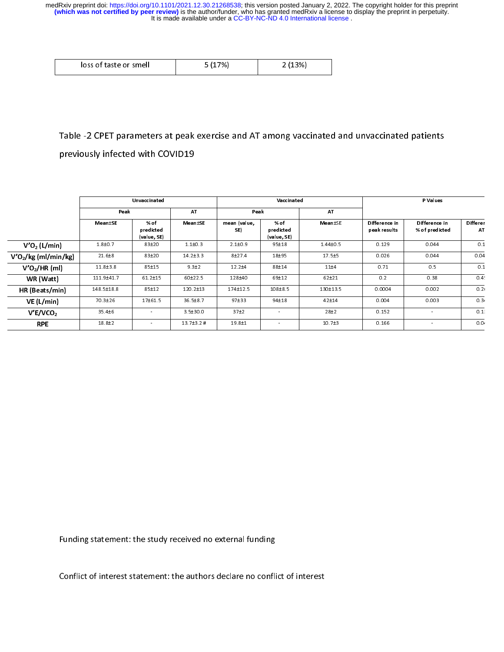| 7%.<br>loss of taste or smell<br>%, |  |
|-------------------------------------|--|
|-------------------------------------|--|

# $\begin{array}{c} \n\frac{1}{2} & \frac{1}{2} \\ \n\frac{1}{2} & \frac{1}{2} \\ \n\frac{1}{2} & \frac{1}{2} \\ \n\frac{1}{2} & \frac{1}{2} \\ \n\frac{1}{2} & \frac{1}{2} \\ \n\frac{1}{2} & \frac{1}{2} \\ \n\frac{1}{2} & \frac{1}{2} \\ \n\frac{1}{2} & \frac{1}{2} \\ \n\frac{1}{2} & \frac{1}{2} \\ \n\frac{1}{2} & \frac{1}{2} \\ \n\frac{1}{2} & \frac{1}{2} \\ \n\frac{1}{2} & \frac{1}{$  $\begin{array}{c} \n\frac{1}{2} & \frac{1}{2} \\ \n\frac{1}{2} & \frac{1}{2} \\ \n\frac{1}{2} & \frac{1}{2} \\ \n\frac{1}{2} & \frac{1}{2} \\ \n\frac{1}{2} & \frac{1}{2} \\ \n\frac{1}{2} & \frac{1}{2} \\ \n\frac{1}{2} & \frac{1}{2} \\ \n\frac{1}{2} & \frac{1}{2} \\ \n\frac{1}{2} & \frac{1}{2} \\ \n\frac{1}{2} & \frac{1}{2} \\ \n\frac{1}{2} & \frac{1}{2} \\ \n\frac{1}{2} & \frac{1}{$  $\frac{1}{2}$

|                                  |                                  |                                  |                  |                     | ັ                                |              |                               | - 17                            |                  |
|----------------------------------|----------------------------------|----------------------------------|------------------|---------------------|----------------------------------|--------------|-------------------------------|---------------------------------|------------------|
|                                  | previously infected with COVID19 |                                  |                  |                     |                                  |              |                               |                                 |                  |
|                                  |                                  |                                  |                  |                     |                                  |              |                               |                                 |                  |
|                                  | Unvaccinated                     |                                  |                  | Vaccinated          |                                  |              | P Values                      |                                 |                  |
|                                  | Peak                             |                                  | AT               | Peak                |                                  | AT           |                               |                                 |                  |
|                                  | Mean±SE                          | % of<br>predicted<br>(value, SE) | Mean±SE          | mean (value,<br>SE) | % of<br>predicted<br>(value, SE) | Mean±SE      | Difference in<br>peak results | Difference in<br>% of predicted | Differer<br>AT   |
| $V'O2$ (L/min)                   | $1.8 + 0.7$                      | 83±20                            | $1.1 \pm 0.3$    | $2.1 + 0.9$         | 95±18                            | $1.44 + 0.5$ | 0.129                         | 0.044                           | 0.1              |
| V'O <sub>2</sub> /kg (ml/min/kg) | $21.6 + 8$                       | 83±20                            | $14.2 \pm 3.3$   | $8 + 274$           | 18±95                            | $17.5 + 5$   | 0.026                         | 0.044                           | 0.04             |
| V'O <sub>2</sub> /HR (ml)        | $11.8 + 3.8$                     | $85 + 15$                        | $9.3 + 2$        | $12.2 + 4$          | $88 + 14$                        | $11 + 4$     | 0.71                          | 0.5                             | 0.1              |
| WR (Watt)                        | 111.9±41.7                       | $61.2 \pm 15$                    | 60±22.5          | 128±40              | $69 + 12$                        | $62 + 21$    | 0.2                           | 0.38                            | 0.4 <sup>1</sup> |
| HR (Beats/min)                   | 148 5±18 8                       | 85±12                            | 120.2±13         | 174±12.5            | 108±8.5                          | 130±13.5     | 0.0004                        | 0.002                           | 0.21             |
| VE (L/min)                       | 70.3±26                          | 17±61.5                          | 36.5±8.7         | $97 + 33$           | $94\pm18$                        | $42 + 14$    | 0.004                         | 0.003                           | 0.3 <sub>1</sub> |
| V'E/VCO <sub>2</sub>             | $35.4 + 6$                       | $\sim$                           | $3.5 \pm 30.0$   | 37 <sub>±2</sub>    | $\sim$                           | 28±2         | 0.152                         | $\sim$                          | 0.1              |
| <b>RPE</b>                       | $18.8 + 2$                       | $\rightarrow$                    | $13.7 \pm 3.2$ # | 19.8±1              | $\sim$                           | $10.7 + 3$   | 0.166                         | $\blacksquare$                  | 0.0              |

 $\overline{a}$ |<br>|

Funding statement: the study received no external funding<br>Conflict of interest statement: the authors declare no conflict of interest  $\overline{a}$